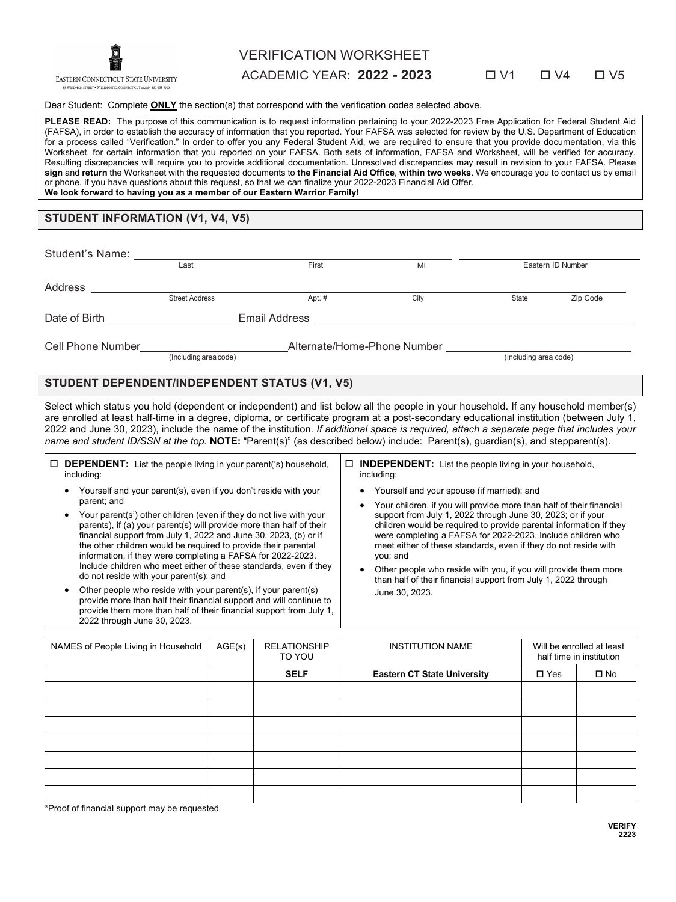

# VERIFICATION WORKSHEET

ACADEMIC YEAR: **2022 - 2023** V1 V4 V5

#### Dear Student: Complete **ONLY** the section(s) that correspond with the verification codes selected above.

PLEASE READ: The purpose of this communication is to request information pertaining to your 2022-2023 Free Application for Federal Student Aid (FAFSA), in order to establish the accuracy of information that you reported. Your FAFSA was selected for review by the U.S. Department of Education for a process called "Verification." In order to offer you any Federal Student Aid, we are required to ensure that you provide documentation, via this Worksheet, for certain information that you reported on your FAFSA. Both sets of information, FAFSA and Worksheet, will be verified for accuracy. Resulting discrepancies will require you to provide additional documentation. Unresolved discrepancies may result in revision to your FAFSA. Please **sign** and **return** the Worksheet with the requested documents to **the Financial Aid Office**, **within two weeks**. We encourage you to contact us by email or phone, if you have questions about this request, so that we can finalize your 2022-2023 Financial Aid Offer. **We look forward to having you as a member of our Eastern Warrior Family!**

### **STUDENT INFORMATION (V1, V4, V5)**

| Student's Name:   |                       |                             |      |                       |          |
|-------------------|-----------------------|-----------------------------|------|-----------------------|----------|
|                   | Last                  | First                       | MI   | Eastern ID Number     |          |
| Address           |                       |                             |      |                       |          |
|                   | <b>Street Address</b> | Apt. #                      | City | <b>State</b>          | Zip Code |
| Date of Birth     | Email Address         |                             |      |                       |          |
| Cell Phone Number | (Including area code) | Alternate/Home-Phone Number |      | (Including area code) |          |

# **STUDENT DEPENDENT/INDEPENDENT STATUS (V1, V5)**

Select which status you hold (dependent or independent) and list below all the people in your household. If any household member(s) are enrolled at least half-time in a degree, diploma, or certificate program at a post-secondary educational institution (between July 1, 2022 and June 30, 2023), include the name of the institution. *If additional space is required, attach a separate page that includes your name and student ID/SSN at the top.* **NOTE:** "Parent(s)" (as described below) include: Parent(s), guardian(s), and stepparent(s).

| $\Box$ <b>DEPENDENT:</b> List the people living in your parent('s) household,<br>including:                                                                                                                                                                                                                                                                                                                                                                                                                                                                                                                                                                                                                                                                                                     | $\Box$ <b>INDEPENDENT:</b> List the people living in your household,<br>including:                                                                                                                                                                                                                                                                                                                                                                                                                                                                             |
|-------------------------------------------------------------------------------------------------------------------------------------------------------------------------------------------------------------------------------------------------------------------------------------------------------------------------------------------------------------------------------------------------------------------------------------------------------------------------------------------------------------------------------------------------------------------------------------------------------------------------------------------------------------------------------------------------------------------------------------------------------------------------------------------------|----------------------------------------------------------------------------------------------------------------------------------------------------------------------------------------------------------------------------------------------------------------------------------------------------------------------------------------------------------------------------------------------------------------------------------------------------------------------------------------------------------------------------------------------------------------|
| Yourself and your parent(s), even if you don't reside with your<br>parent; and<br>Your parent(s') other children (even if they do not live with your<br>parents), if (a) your parent(s) will provide more than half of their<br>financial support from July 1, 2022 and June 30, 2023, (b) or if<br>the other children would be required to provide their parental<br>information, if they were completing a FAFSA for 2022-2023.<br>Include children who meet either of these standards, even if they<br>do not reside with your parent(s); and<br>Other people who reside with your parent(s), if your parent(s)<br>provide more than half their financial support and will continue to<br>provide them more than half of their financial support from July 1,<br>2022 through June 30, 2023. | • Yourself and your spouse (if married); and<br>Your children, if you will provide more than half of their financial<br>support from July 1, 2022 through June 30, 2023; or if your<br>children would be required to provide parental information if they<br>were completing a FAFSA for 2022-2023. Include children who<br>meet either of these standards, even if they do not reside with<br>you; and<br>Other people who reside with you, if you will provide them more<br>than half of their financial support from July 1, 2022 through<br>June 30, 2023. |

| NAMES of People Living in Household | AGE(s) | <b>RELATIONSHIP</b><br>TO YOU | <b>INSTITUTION NAME</b>            | Will be enrolled at least<br>half time in institution |              |
|-------------------------------------|--------|-------------------------------|------------------------------------|-------------------------------------------------------|--------------|
|                                     |        | <b>SELF</b>                   | <b>Eastern CT State University</b> | $\square$ Yes                                         | $\square$ No |
|                                     |        |                               |                                    |                                                       |              |
|                                     |        |                               |                                    |                                                       |              |
|                                     |        |                               |                                    |                                                       |              |
|                                     |        |                               |                                    |                                                       |              |
|                                     |        |                               |                                    |                                                       |              |
|                                     |        |                               |                                    |                                                       |              |
|                                     |        |                               |                                    |                                                       |              |

\*Proof of financial support may be requested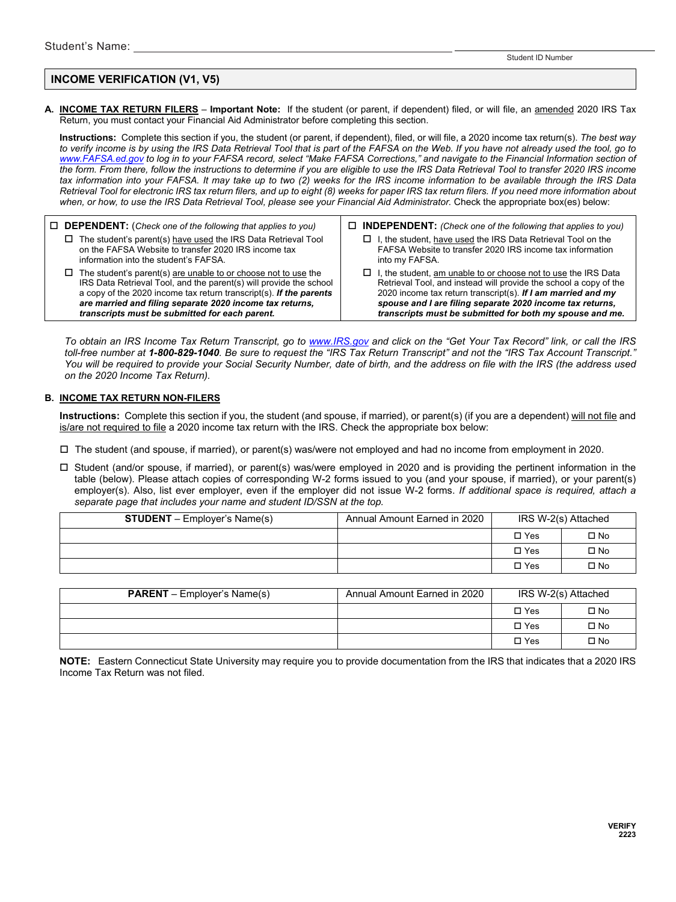Student ID Number

# **INCOME VERIFICATION (V1, V5)**

**A. INCOME TAX RETURN FILERS** – **Important Note:** If the student (or parent, if dependent) filed, or will file, an amended 2020 IRS Tax Return, you must contact your Financial Aid Administrator before completing this section.

**Instructions:** Complete this section if you, the student (or parent, if dependent), filed, or will file, a 2020 income tax return(s). *The best way to verify income is by using the IRS Data Retrieval Tool that is part of the FAFSA on the Web. If you have not already used the tool, go to [www.FAFSA.ed.gov](http://www.fafsa.ed.gov/) to log in to your FAFSA record, select "Make FAFSA Corrections," and navigate to the Financial Information section of the form. From there, follow the instructions to determine if you are eligible to use the IRS Data Retrieval Tool to transfer 2020 IRS income tax information into your FAFSA. It may take up to two (2) weeks for the IRS income information to be available through the IRS Data Retrieval Tool for electronic IRS tax return filers, and up to eight (8) weeks for paper IRS tax return filers. If you need more information about when, or how, to use the IRS Data Retrieval Tool, please see your Financial Aid Administrator.* Check the appropriate box(es) below:

- **DEPENDENT:** (*Check one of the following that applies to you)*  $\square$  The student's parent(s) have used the IRS Data Retrieval Tool on the FAFSA Website to transfer 2020 IRS income tax information into the student's FAFSA.
	- $\Box$  The student's parent(s) are unable to or choose not to use the IRS Data Retrieval Tool, and the parent(s) will provide the school a copy of the 2020 income tax return transcript(s). *If the parents are married and filing separate 2020 income tax returns, transcripts must be submitted for each parent.*
- **INDEPENDENT:** *(Check one of the following that applies to you)*
	- $\Box$  I, the student, have used the IRS Data Retrieval Tool on the FAFSA Website to transfer 2020 IRS income tax information into my FAFSA.
	- $\Box$  I, the student, am unable to or choose not to use the IRS Data Retrieval Tool, and instead will provide the school a copy of the 2020 income tax return transcript(s). *If I am married and my spouse and I are filing separate 2020 income tax returns, transcripts must be submitted for both my spouse and me.*

*To obtain an IRS Income Tax Return Transcript, go to [www.IRS.gov](http://www.irs.gov/) and click on the "Get Your Tax Record" link, or call the IRS toll-free number at 1-800-829-1040. Be sure to request the "IRS Tax Return Transcript" and not the "IRS Tax Account Transcript." You will be required to provide your Social Security Number, date of birth, and the address on file with the IRS (the address used on the 2020 Income Tax Return).*

# **B. INCOME TAX RETURN NON-FILERS**

**Instructions:** Complete this section if you, the student (and spouse, if married), or parent(s) (if you are a dependent) will not file and is/are not required to file a 2020 income tax return with the IRS. Check the appropriate box below:

The student (and spouse, if married), or parent(s) was/were not employed and had no income from employment in 2020.

 Student (and/or spouse, if married), or parent(s) was/were employed in 2020 and is providing the pertinent information in the table (below). Please attach copies of corresponding W-2 forms issued to you (and your spouse, if married), or your parent(s) employer(s). Also, list ever employer, even if the employer did not issue W-2 forms. *If additional space is required, attach a separate page that includes your name and student ID/SSN at the top.*

| <b>STUDENT</b> – Employer's Name(s) | Annual Amount Earned in 2020 | IRS W-2(s) Attached |              |
|-------------------------------------|------------------------------|---------------------|--------------|
|                                     |                              | $\Box$ Yes          | $\square$ No |
|                                     |                              | $\Box$ Yes          | $\square$ No |
|                                     |                              | $\Box$ Yes          | $\square$ No |

| <b>PARENT</b> – Employer's Name(s) | Annual Amount Earned in 2020 | IRS W-2(s) Attached |              |
|------------------------------------|------------------------------|---------------------|--------------|
|                                    |                              | $\Box$ Yes          | $\square$ No |
|                                    |                              | $\Box$ Yes          | □ No         |
|                                    |                              | $\Box$ Yes          | $\square$ No |

**NOTE:** Eastern Connecticut State University may require you to provide documentation from the IRS that indicates that a 2020 IRS Income Tax Return was not filed.